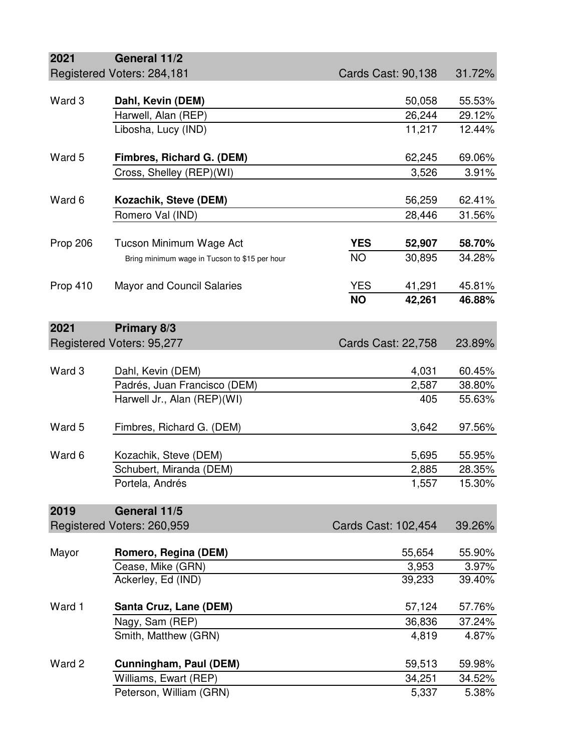| 2021                                                   | General 11/2                                  |                     |                           |        |
|--------------------------------------------------------|-----------------------------------------------|---------------------|---------------------------|--------|
|                                                        | Registered Voters: 284,181                    |                     | <b>Cards Cast: 90,138</b> | 31.72% |
|                                                        |                                               |                     |                           |        |
| Ward 3                                                 | Dahl, Kevin (DEM)                             |                     | 50,058                    | 55.53% |
|                                                        | Harwell, Alan (REP)                           |                     | 26,244                    | 29.12% |
|                                                        | Libosha, Lucy (IND)                           |                     | 11,217                    | 12.44% |
| Ward 5                                                 | Fimbres, Richard G. (DEM)                     |                     | 62,245                    | 69.06% |
|                                                        | Cross, Shelley (REP)(WI)                      |                     | 3,526                     | 3.91%  |
| Ward 6                                                 | Kozachik, Steve (DEM)                         |                     | 56,259                    | 62.41% |
|                                                        | Romero Val (IND)                              |                     | 28,446                    | 31.56% |
|                                                        |                                               |                     |                           |        |
| Prop 206                                               | Tucson Minimum Wage Act                       | <b>YES</b>          | 52,907                    | 58.70% |
|                                                        | Bring minimum wage in Tucson to \$15 per hour | <b>NO</b>           | 30,895                    | 34.28% |
| Prop 410                                               | <b>Mayor and Council Salaries</b>             | <b>YES</b>          | 41,291                    | 45.81% |
|                                                        |                                               | <b>NO</b>           | 42,261                    | 46.88% |
|                                                        |                                               |                     |                           |        |
| 2021                                                   | Primary 8/3                                   |                     |                           |        |
| Registered Voters: 95,277<br><b>Cards Cast: 22,758</b> |                                               |                     | 23.89%                    |        |
|                                                        |                                               |                     |                           |        |
| Ward 3                                                 | Dahl, Kevin (DEM)                             |                     | 4,031                     | 60.45% |
|                                                        | Padrés, Juan Francisco (DEM)                  |                     | 2,587                     | 38.80% |
|                                                        | Harwell Jr., Alan (REP)(WI)                   |                     | 405                       | 55.63% |
| Ward 5                                                 | Fimbres, Richard G. (DEM)                     |                     | 3,642                     | 97.56% |
|                                                        |                                               |                     |                           |        |
| Ward 6                                                 | Kozachik, Steve (DEM)                         |                     | 5,695                     | 55.95% |
|                                                        | Schubert, Miranda (DEM)                       |                     | 2,885                     | 28.35% |
|                                                        | Portela, Andrés                               |                     | 1,557                     | 15.30% |
| 2019                                                   | General 11/5                                  |                     |                           |        |
|                                                        | Registered Voters: 260,959                    | Cards Cast: 102,454 |                           | 39.26% |
|                                                        |                                               |                     |                           |        |
| Mayor                                                  | Romero, Regina (DEM)                          |                     | 55,654                    | 55.90% |
|                                                        | Cease, Mike (GRN)                             |                     | 3,953                     | 3.97%  |
|                                                        | Ackerley, Ed (IND)                            |                     | 39,233                    | 39.40% |
| Ward 1                                                 | Santa Cruz, Lane (DEM)                        |                     | 57,124                    | 57.76% |
|                                                        | Nagy, Sam (REP)                               |                     | 36,836                    | 37.24% |
|                                                        | Smith, Matthew (GRN)                          |                     | 4.87%                     |        |
|                                                        |                                               |                     | 4,819                     |        |
| Ward 2                                                 | Cunningham, Paul (DEM)                        |                     | 59,513                    | 59.98% |
|                                                        | Williams, Ewart (REP)                         |                     | 34,251                    | 34.52% |
|                                                        | Peterson, William (GRN)                       |                     | 5,337                     | 5.38%  |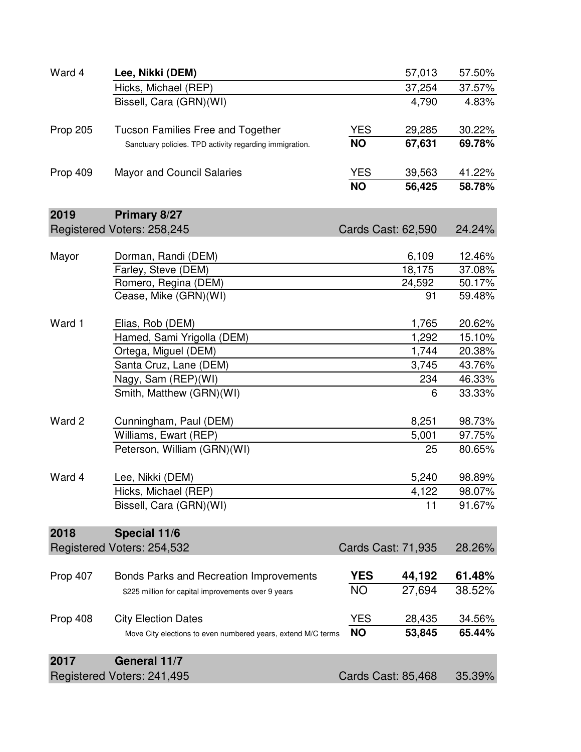| Ward 4   | Lee, Nikki (DEM)                                             |            | 57,013                    | 57.50% |
|----------|--------------------------------------------------------------|------------|---------------------------|--------|
|          | Hicks, Michael (REP)                                         |            | 37,254                    | 37.57% |
|          | Bissell, Cara (GRN)(WI)                                      |            | 4,790                     | 4.83%  |
| Prop 205 | <b>Tucson Families Free and Together</b>                     | <b>YES</b> | 29,285                    | 30.22% |
|          | Sanctuary policies. TPD activity regarding immigration.      | <b>NO</b>  | 67,631                    | 69.78% |
| Prop 409 | <b>Mayor and Council Salaries</b>                            | <b>YES</b> | 39,563                    | 41.22% |
|          |                                                              | <b>NO</b>  | 56,425                    | 58.78% |
| 2019     | Primary 8/27                                                 |            |                           |        |
|          | Registered Voters: 258,245                                   |            | Cards Cast: 62,590        | 24.24% |
| Mayor    | Dorman, Randi (DEM)                                          |            | 6,109                     | 12.46% |
|          | Farley, Steve (DEM)                                          |            | 18,175                    | 37.08% |
|          | Romero, Regina (DEM)                                         |            | 24,592                    | 50.17% |
|          | Cease, Mike (GRN)(WI)                                        |            | 91                        | 59.48% |
| Ward 1   | Elias, Rob (DEM)                                             |            | 1,765                     | 20.62% |
|          | Hamed, Sami Yrigolla (DEM)                                   |            | 1,292                     | 15.10% |
|          | Ortega, Miguel (DEM)                                         |            | 1,744                     | 20.38% |
|          | Santa Cruz, Lane (DEM)                                       |            | 3,745                     | 43.76% |
|          | Nagy, Sam (REP)(WI)                                          |            | 234                       | 46.33% |
|          | Smith, Matthew (GRN)(WI)                                     |            | 6                         | 33.33% |
| Ward 2   | Cunningham, Paul (DEM)                                       |            | 8,251                     | 98.73% |
|          | Williams, Ewart (REP)                                        |            | 5,001                     | 97.75% |
|          | Peterson, William (GRN)(WI)                                  |            | 25                        | 80.65% |
| Ward 4   | Lee, Nikki (DEM)                                             |            | 5,240                     | 98.89% |
|          | Hicks, Michael (REP)                                         |            | 4,122                     | 98.07% |
|          | Bissell, Cara (GRN)(WI)                                      |            | 11                        | 91.67% |
| 2018     | Special 11/6                                                 |            |                           |        |
|          | Registered Voters: 254,532                                   |            | Cards Cast: 71,935        | 28.26% |
| Prop 407 | Bonds Parks and Recreation Improvements                      | <b>YES</b> | 44,192                    | 61.48% |
|          | \$225 million for capital improvements over 9 years          | <b>NO</b>  | 27,694                    | 38.52% |
|          |                                                              |            |                           |        |
| Prop 408 | <b>City Election Dates</b>                                   | <b>YES</b> | 28,435                    | 34.56% |
|          | Move City elections to even numbered years, extend M/C terms | <b>NO</b>  | 53,845                    | 65.44% |
| 2017     | <b>General 11/7</b>                                          |            |                           |        |
|          | Registered Voters: 241,495                                   |            | <b>Cards Cast: 85,468</b> | 35.39% |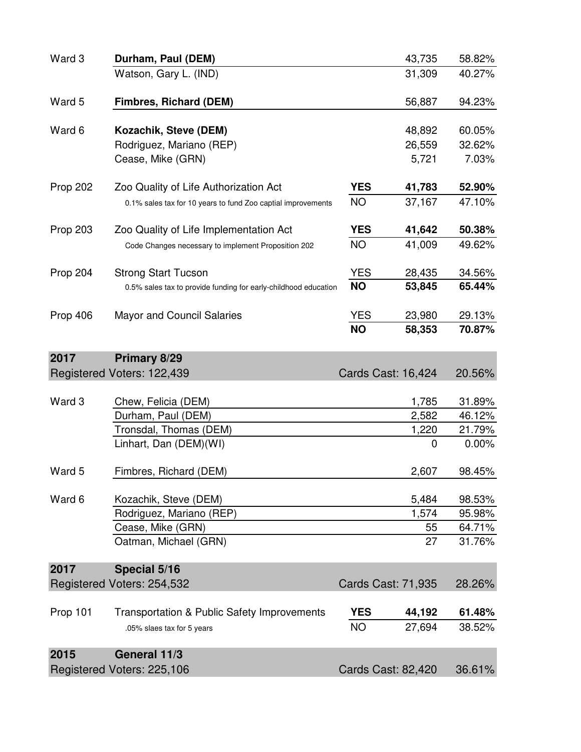| Ward 3   | Durham, Paul (DEM)                                              |            | 43,735                    | 58.82% |
|----------|-----------------------------------------------------------------|------------|---------------------------|--------|
|          | Watson, Gary L. (IND)                                           |            | 31,309                    | 40.27% |
| Ward 5   | <b>Fimbres, Richard (DEM)</b>                                   |            | 56,887                    | 94.23% |
| Ward 6   | Kozachik, Steve (DEM)                                           |            | 48,892                    | 60.05% |
|          | Rodriguez, Mariano (REP)                                        |            | 26,559                    | 32.62% |
|          | Cease, Mike (GRN)                                               |            | 5,721                     | 7.03%  |
| Prop 202 | Zoo Quality of Life Authorization Act                           | <b>YES</b> | 41,783                    | 52.90% |
|          | 0.1% sales tax for 10 years to fund Zoo captial improvements    | <b>NO</b>  | 37,167                    | 47.10% |
| Prop 203 | Zoo Quality of Life Implementation Act                          | <b>YES</b> | 41,642                    | 50.38% |
|          | Code Changes necessary to implement Proposition 202             | <b>NO</b>  | 41,009                    | 49.62% |
| Prop 204 | <b>Strong Start Tucson</b>                                      | <b>YES</b> | 28,435                    | 34.56% |
|          | 0.5% sales tax to provide funding for early-childhood education | <b>NO</b>  | 53,845                    | 65.44% |
| Prop 406 | <b>Mayor and Council Salaries</b>                               | <b>YES</b> | 23,980                    | 29.13% |
|          |                                                                 | <b>NO</b>  | 58,353                    | 70.87% |
| 2017     | Primary 8/29                                                    |            |                           |        |
|          | Registered Voters: 122,439                                      |            | Cards Cast: 16,424        | 20.56% |
| Ward 3   | Chew, Felicia (DEM)                                             |            | 1,785                     | 31.89% |
|          | Durham, Paul (DEM)                                              |            | 2,582                     | 46.12% |
|          | Tronsdal, Thomas (DEM)                                          |            | 1,220                     | 21.79% |
|          | Linhart, Dan (DEM)(WI)                                          |            | $\mathbf 0$               | 0.00%  |
| Ward 5   | Fimbres, Richard (DEM)                                          |            | 2,607                     | 98.45% |
| Ward 6   | Kozachik, Steve (DEM)                                           |            | 5,484                     | 98.53% |
|          | Rodriguez, Mariano (REP)                                        |            | 1,574                     | 95.98% |
|          | Cease, Mike (GRN)                                               |            | 55                        | 64.71% |
|          | Oatman, Michael (GRN)                                           |            | 27                        | 31.76% |
| 2017     | Special 5/16                                                    |            |                           |        |
|          | Registered Voters: 254,532                                      |            | <b>Cards Cast: 71,935</b> | 28.26% |
| Prop 101 | <b>Transportation &amp; Public Safety Improvements</b>          | <b>YES</b> | 44,192                    | 61.48% |
|          | .05% slaes tax for 5 years                                      | <b>NO</b>  | 27,694                    | 38.52% |
| 2015     | General 11/3                                                    |            |                           |        |
|          | Registered Voters: 225,106                                      |            | Cards Cast: 82,420        | 36.61% |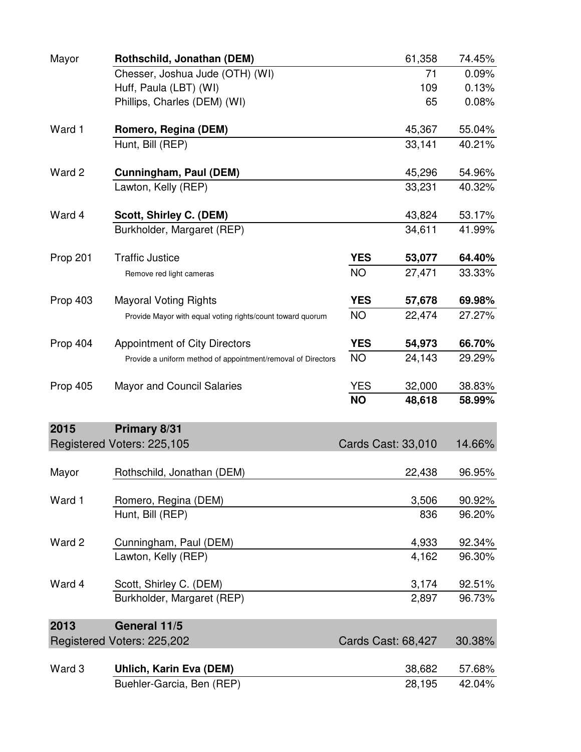| Mayor           | Rothschild, Jonathan (DEM)                                   |            | 61,358             | 74.45% |
|-----------------|--------------------------------------------------------------|------------|--------------------|--------|
|                 | Chesser, Joshua Jude (OTH) (WI)                              |            | 71                 | 0.09%  |
|                 | Huff, Paula (LBT) (WI)                                       |            | 109                | 0.13%  |
|                 | Phillips, Charles (DEM) (WI)                                 |            | 65                 | 0.08%  |
| Ward 1          | Romero, Regina (DEM)                                         |            | 45,367             | 55.04% |
|                 | Hunt, Bill (REP)                                             |            | 33,141             | 40.21% |
| Ward 2          | Cunningham, Paul (DEM)                                       |            | 45,296             | 54.96% |
|                 | Lawton, Kelly (REP)                                          |            | 33,231             | 40.32% |
| Ward 4          | Scott, Shirley C. (DEM)                                      |            | 43,824             | 53.17% |
|                 | Burkholder, Margaret (REP)                                   |            | 34,611             | 41.99% |
| Prop 201        | <b>Traffic Justice</b>                                       | <b>YES</b> | 53,077             | 64.40% |
|                 | Remove red light cameras                                     | <b>NO</b>  | 27,471             | 33.33% |
| Prop 403        | <b>Mayoral Voting Rights</b>                                 | <b>YES</b> | 57,678             | 69.98% |
|                 | Provide Mayor with equal voting rights/count toward quorum   | <b>NO</b>  | 22,474             | 27.27% |
| Prop 404        | <b>Appointment of City Directors</b>                         | <b>YES</b> | 54,973             | 66.70% |
|                 | Provide a uniform method of appointment/removal of Directors | <b>NO</b>  | 24,143             | 29.29% |
| <b>Prop 405</b> | <b>Mayor and Council Salaries</b>                            | <b>YES</b> | 32,000             | 38.83% |
|                 |                                                              | <b>NO</b>  | 48,618             | 58.99% |
| 2015            | Primary 8/31                                                 |            |                    |        |
|                 | Registered Voters: 225,105                                   |            | Cards Cast: 33,010 | 14.66% |
| Mayor           | Rothschild, Jonathan (DEM)                                   |            | 22,438             | 96.95% |
| Ward 1          | Romero, Regina (DEM)                                         |            | 3,506              | 90.92% |
|                 | Hunt, Bill (REP)                                             |            | 836                | 96.20% |
| Ward 2          | Cunningham, Paul (DEM)                                       |            | 4,933              | 92.34% |
|                 | Lawton, Kelly (REP)                                          |            | 4,162              | 96.30% |
| Ward 4          | Scott, Shirley C. (DEM)                                      |            | 3,174              | 92.51% |
|                 | Burkholder, Margaret (REP)                                   |            | 2,897              | 96.73% |
| 2013            | General 11/5                                                 |            |                    |        |
|                 | Registered Voters: 225,202                                   |            | Cards Cast: 68,427 | 30.38% |
| Ward 3          | <b>Uhlich, Karin Eva (DEM)</b>                               |            | 38,682             | 57.68% |
|                 | Buehler-Garcia, Ben (REP)                                    |            | 28,195             | 42.04% |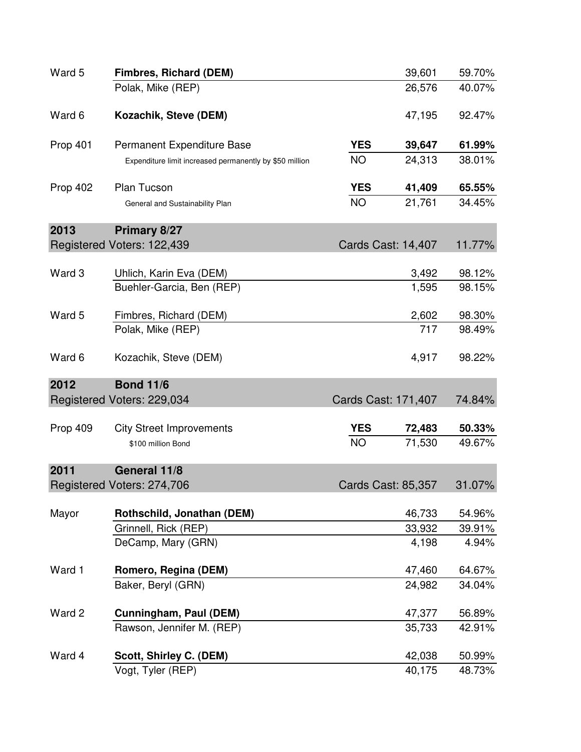| Ward 5          | <b>Fimbres, Richard (DEM)</b>                           |                     | 39,601                    | 59.70% |
|-----------------|---------------------------------------------------------|---------------------|---------------------------|--------|
|                 | Polak, Mike (REP)                                       |                     | 26,576                    | 40.07% |
| Ward 6          | Kozachik, Steve (DEM)                                   |                     | 47,195                    | 92.47% |
| <b>Prop 401</b> | Permanent Expenditure Base                              | <b>YES</b>          | 39,647                    | 61.99% |
|                 | Expenditure limit increased permanently by \$50 million | <b>NO</b>           | 24,313                    | 38.01% |
| Prop 402        | <b>Plan Tucson</b>                                      | <b>YES</b>          | 41,409                    | 65.55% |
|                 | General and Sustainability Plan                         | <b>NO</b>           | 21,761                    | 34.45% |
| 2013            | Primary 8/27                                            |                     |                           |        |
|                 | Registered Voters: 122,439                              |                     | <b>Cards Cast: 14,407</b> | 11.77% |
| Ward 3          | Uhlich, Karin Eva (DEM)                                 |                     | 3,492                     | 98.12% |
|                 | Buehler-Garcia, Ben (REP)                               |                     | 1,595                     | 98.15% |
| Ward 5          | Fimbres, Richard (DEM)                                  |                     | 2,602                     | 98.30% |
|                 | Polak, Mike (REP)                                       |                     | 717                       | 98.49% |
| Ward 6          | Kozachik, Steve (DEM)                                   |                     | 4,917                     | 98.22% |
| 2012            | <b>Bond 11/6</b>                                        |                     |                           |        |
|                 | Registered Voters: 229,034                              | Cards Cast: 171,407 |                           | 74.84% |
| Prop 409        | <b>City Street Improvements</b>                         | <b>YES</b>          | 72,483                    | 50.33% |
|                 | \$100 million Bond                                      | <b>NO</b>           | 71,530                    | 49.67% |
| 2011            | General 11/8                                            |                     |                           |        |
|                 | Registered Voters: 274,706                              |                     | Cards Cast: 85,357        | 31.07% |
| Mayor           | Rothschild, Jonathan (DEM)                              |                     | 46,733                    | 54.96% |
|                 | Grinnell, Rick (REP)                                    |                     | 33,932                    | 39.91% |
|                 | DeCamp, Mary (GRN)                                      |                     | 4,198                     | 4.94%  |
| Ward 1          | Romero, Regina (DEM)                                    |                     | 47,460                    | 64.67% |
|                 | Baker, Beryl (GRN)                                      |                     | 24,982                    | 34.04% |
| Ward 2          | Cunningham, Paul (DEM)                                  |                     | 47,377                    | 56.89% |
|                 | Rawson, Jennifer M. (REP)                               |                     | 35,733                    | 42.91% |
| Ward 4          | Scott, Shirley C. (DEM)                                 |                     | 42,038                    | 50.99% |
|                 | Vogt, Tyler (REP)                                       |                     | 40,175                    | 48.73% |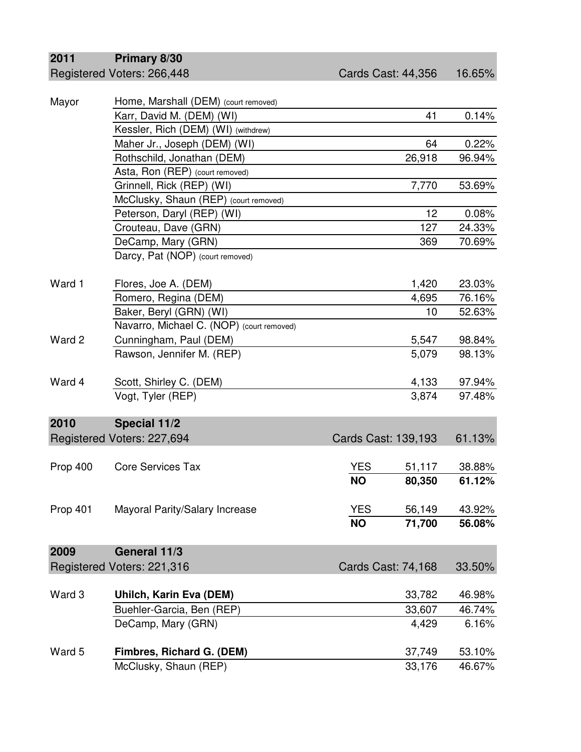## **2011 Primary 8/30**

| Mayor    | Home, Marshall (DEM) (court removed)      |                     |                    |        |
|----------|-------------------------------------------|---------------------|--------------------|--------|
|          | Karr, David M. (DEM) (WI)                 |                     | 41                 | 0.14%  |
|          | Kessler, Rich (DEM) (WI) (withdrew)       |                     |                    |        |
|          | Maher Jr., Joseph (DEM) (WI)              |                     | 64                 | 0.22%  |
|          | Rothschild, Jonathan (DEM)                |                     | 26,918             | 96.94% |
|          | Asta, Ron (REP) (court removed)           |                     |                    |        |
|          | Grinnell, Rick (REP) (WI)                 |                     | 7,770              | 53.69% |
|          | McClusky, Shaun (REP) (court removed)     |                     |                    |        |
|          | Peterson, Daryl (REP) (WI)                |                     | 12                 | 0.08%  |
|          | Crouteau, Dave (GRN)                      |                     | 127                | 24.33% |
|          | DeCamp, Mary (GRN)                        |                     | 369                | 70.69% |
|          | Darcy, Pat (NOP) (court removed)          |                     |                    |        |
| Ward 1   | Flores, Joe A. (DEM)                      |                     | 1,420              | 23.03% |
|          | Romero, Regina (DEM)                      |                     | 4,695              | 76.16% |
|          | Baker, Beryl (GRN) (WI)                   |                     | 10                 | 52.63% |
|          | Navarro, Michael C. (NOP) (court removed) |                     |                    |        |
| Ward 2   | Cunningham, Paul (DEM)                    |                     | 5,547              | 98.84% |
|          | Rawson, Jennifer M. (REP)                 |                     | 5,079              | 98.13% |
| Ward 4   | Scott, Shirley C. (DEM)                   |                     | 4,133              | 97.94% |
|          | Vogt, Tyler (REP)                         |                     | 3,874              | 97.48% |
| 2010     | Special 11/2                              |                     |                    |        |
|          | Registered Voters: 227,694                | Cards Cast: 139,193 |                    | 61.13% |
|          |                                           |                     |                    |        |
| Prop 400 | <b>Core Services Tax</b>                  | <b>YES</b>          | 51,117             | 38.88% |
|          |                                           | <b>NO</b>           | 80,350             | 61.12% |
| Prop 401 | Mayoral Parity/Salary Increase            | <b>YES</b>          | 56,149             | 43.92% |
|          |                                           | <b>NO</b>           | 71,700             | 56.08% |
| 2009     | General 11/3                              |                     |                    |        |
|          | Registered Voters: 221,316                |                     | Cards Cast: 74,168 | 33.50% |
| Ward 3   | Uhilch, Karin Eva (DEM)                   |                     | 33,782             | 46.98% |
|          | Buehler-Garcia, Ben (REP)                 |                     | 33,607             | 46.74% |
|          | DeCamp, Mary (GRN)                        |                     | 4,429              | 6.16%  |
|          |                                           |                     |                    |        |
| Ward 5   | Fimbres, Richard G. (DEM)                 |                     | 37,749             | 53.10% |
|          | McClusky, Shaun (REP)                     |                     | 33,176             | 46.67% |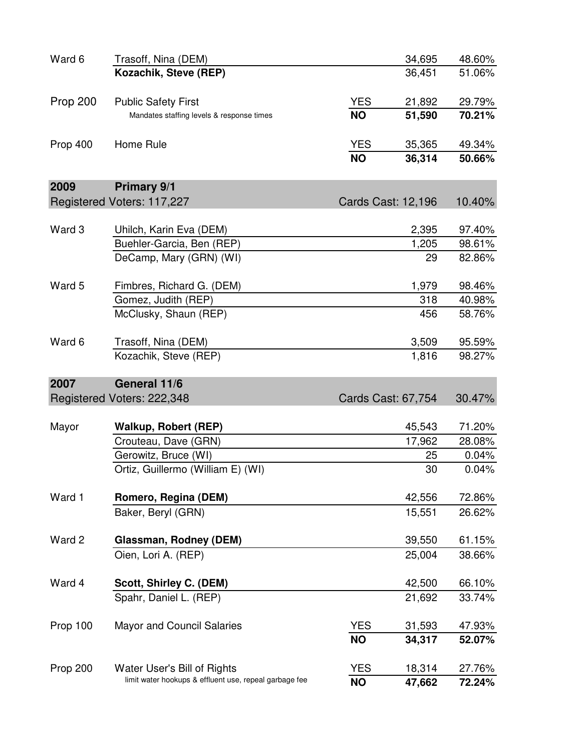| Ward 6          | Trasoff, Nina (DEM)                                    |            | 34,695             | 48.60% |
|-----------------|--------------------------------------------------------|------------|--------------------|--------|
|                 | Kozachik, Steve (REP)                                  |            | 36,451             | 51.06% |
| <b>Prop 200</b> | <b>Public Safety First</b>                             | <b>YES</b> | 21,892             | 29.79% |
|                 | Mandates staffing levels & response times              | <b>NO</b>  | 51,590             | 70.21% |
| Prop 400        | Home Rule                                              | <b>YES</b> | 35,365             | 49.34% |
|                 |                                                        | <b>NO</b>  | 36,314             | 50.66% |
| 2009            | <b>Primary 9/1</b>                                     |            |                    |        |
|                 | Registered Voters: 117,227                             |            | Cards Cast: 12,196 | 10.40% |
|                 |                                                        |            |                    |        |
| Ward 3          | Uhilch, Karin Eva (DEM)                                |            | 2,395              | 97.40% |
|                 | Buehler-Garcia, Ben (REP)                              |            | 1,205              | 98.61% |
|                 | DeCamp, Mary (GRN) (WI)                                |            | 29                 | 82.86% |
| Ward 5          | Fimbres, Richard G. (DEM)                              |            | 1,979              | 98.46% |
|                 | Gomez, Judith (REP)                                    |            | 318                | 40.98% |
|                 | McClusky, Shaun (REP)                                  |            | 456                | 58.76% |
| Ward 6          | Trasoff, Nina (DEM)                                    |            | 3,509              | 95.59% |
|                 | Kozachik, Steve (REP)                                  |            | 1,816              | 98.27% |
| 2007            | General 11/6                                           |            |                    |        |
|                 | Registered Voters: 222,348                             |            | Cards Cast: 67,754 | 30.47% |
|                 |                                                        |            |                    |        |
| Mayor           | Walkup, Robert (REP)                                   |            | 45,543             | 71.20% |
|                 | Crouteau, Dave (GRN)                                   |            | 17,962             | 28.08% |
|                 | Gerowitz, Bruce (WI)                                   |            | 25                 | 0.04%  |
|                 | Ortiz, Guillermo (William E) (WI)                      |            | 30                 | 0.04%  |
| Ward 1          |                                                        |            |                    |        |
|                 | Romero, Regina (DEM)                                   |            | 42,556             | 72.86% |
|                 | Baker, Beryl (GRN)                                     |            | 15,551             | 26.62% |
| Ward 2          | Glassman, Rodney (DEM)                                 |            | 39,550             | 61.15% |
|                 | Oien, Lori A. (REP)                                    |            | 25,004             | 38.66% |
| Ward 4          | Scott, Shirley C. (DEM)                                |            | 42,500             | 66.10% |
|                 | Spahr, Daniel L. (REP)                                 |            | 21,692             | 33.74% |
| Prop 100        | <b>Mayor and Council Salaries</b>                      | <b>YES</b> | 31,593             | 47.93% |
|                 |                                                        | <b>NO</b>  | 34,317             | 52.07% |
| Prop 200        | Water User's Bill of Rights                            | <b>YES</b> | 18,314             | 27.76% |
|                 | limit water hookups & effluent use, repeal garbage fee | <b>NO</b>  | 47,662             | 72.24% |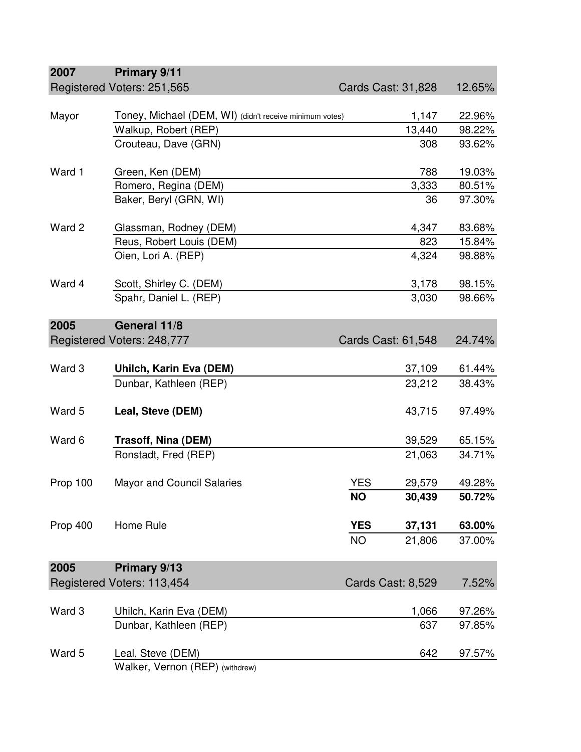| 2007     | Primary 9/11                                            |            |                    |        |
|----------|---------------------------------------------------------|------------|--------------------|--------|
|          | Registered Voters: 251,565                              |            | Cards Cast: 31,828 | 12.65% |
|          |                                                         |            |                    |        |
| Mayor    | Toney, Michael (DEM, WI) (didn't receive minimum votes) |            | 1,147              | 22.96% |
|          | Walkup, Robert (REP)<br>Crouteau, Dave (GRN)            |            | 13,440             | 98.22% |
|          |                                                         |            | 308                | 93.62% |
| Ward 1   | Green, Ken (DEM)                                        |            | 788                | 19.03% |
|          | Romero, Regina (DEM)                                    |            | 3,333              | 80.51% |
|          | Baker, Beryl (GRN, WI)                                  |            | 36                 | 97.30% |
| Ward 2   | Glassman, Rodney (DEM)                                  |            | 4,347              | 83.68% |
|          | Reus, Robert Louis (DEM)                                |            | 823                | 15.84% |
|          | Oien, Lori A. (REP)                                     |            | 4,324              | 98.88% |
| Ward 4   | Scott, Shirley C. (DEM)                                 |            | 3,178              | 98.15% |
|          | Spahr, Daniel L. (REP)                                  |            | 3,030              | 98.66% |
|          |                                                         |            |                    |        |
| 2005     | General 11/8                                            |            |                    |        |
|          | Registered Voters: 248,777                              |            | Cards Cast: 61,548 | 24.74% |
| Ward 3   | Uhilch, Karin Eva (DEM)                                 |            | 37,109             | 61.44% |
|          | Dunbar, Kathleen (REP)                                  |            | 23,212             | 38.43% |
| Ward 5   | Leal, Steve (DEM)                                       |            | 43,715             | 97.49% |
| Ward 6   | <b>Trasoff, Nina (DEM)</b>                              |            | 39,529             | 65.15% |
|          | Ronstadt, Fred (REP)                                    |            | 21,063             | 34.71% |
|          |                                                         |            |                    |        |
| Prop 100 | <b>Mayor and Council Salaries</b>                       | <b>YES</b> | 29,579             | 49.28% |
|          |                                                         | <b>NO</b>  | 30,439             | 50.72% |
| Prop 400 | Home Rule                                               | <b>YES</b> | 37,131             | 63.00% |
|          |                                                         | <b>NO</b>  | 21,806             | 37.00% |
| 2005     | Primary 9/13                                            |            |                    |        |
|          | Registered Voters: 113,454                              |            | Cards Cast: 8,529  | 7.52%  |
| Ward 3   | Uhilch, Karin Eva (DEM)                                 |            | 1,066              | 97.26% |
|          | Dunbar, Kathleen (REP)                                  |            | 637                | 97.85% |
|          |                                                         |            |                    |        |
| Ward 5   | Leal, Steve (DEM)                                       |            | 642                | 97.57% |
|          | Walker, Vernon (REP) (withdrew)                         |            |                    |        |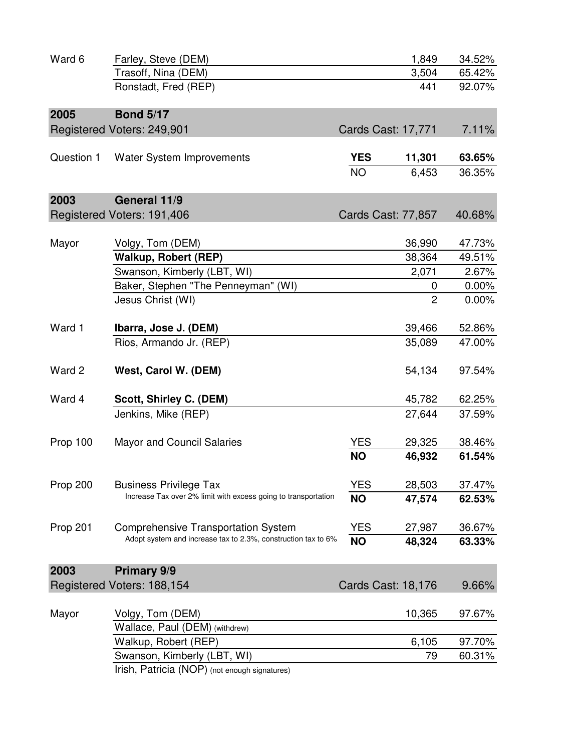| Ward 6     | Farley, Steve (DEM)                                            |            | 1,849                     | 34.52%   |
|------------|----------------------------------------------------------------|------------|---------------------------|----------|
|            | Trasoff, Nina (DEM)                                            |            | 3,504                     | 65.42%   |
|            | Ronstadt, Fred (REP)                                           |            | 441                       | 92.07%   |
| 2005       | <b>Bond 5/17</b>                                               |            |                           |          |
|            | Registered Voters: 249,901                                     |            | Cards Cast: 17,771        | 7.11%    |
|            |                                                                |            |                           |          |
| Question 1 | Water System Improvements                                      | <b>YES</b> | 11,301                    | 63.65%   |
|            |                                                                | <b>NO</b>  | 6,453                     | 36.35%   |
| 2003       | General 11/9                                                   |            |                           |          |
|            | Registered Voters: 191,406                                     |            | Cards Cast: 77,857        | 40.68%   |
|            |                                                                |            |                           |          |
| Mayor      | Volgy, Tom (DEM)                                               |            | 36,990                    | 47.73%   |
|            | Walkup, Robert (REP)                                           |            | 38,364                    | 49.51%   |
|            | Swanson, Kimberly (LBT, WI)                                    |            | 2,071                     | 2.67%    |
|            | Baker, Stephen "The Penneyman" (WI)                            |            | 0                         | $0.00\%$ |
|            | Jesus Christ (WI)                                              |            | $\overline{c}$            | 0.00%    |
| Ward 1     | Ibarra, Jose J. (DEM)                                          |            | 39,466                    | 52.86%   |
|            | Rios, Armando Jr. (REP)                                        |            | 35,089                    | 47.00%   |
| Ward 2     | West, Carol W. (DEM)                                           |            | 54,134                    | 97.54%   |
| Ward 4     | Scott, Shirley C. (DEM)                                        |            | 45,782                    | 62.25%   |
|            | Jenkins, Mike (REP)                                            |            | 27,644                    | 37.59%   |
| Prop 100   | <b>Mayor and Council Salaries</b>                              | <b>YES</b> | 29,325                    | 38.46%   |
|            |                                                                | <b>NO</b>  | 46,932                    | 61.54%   |
| Prop 200   | <b>Business Privilege Tax</b>                                  | <b>YES</b> | 28,503                    | 37.47%   |
|            | Increase Tax over 2% limit with excess going to transportation | <b>NO</b>  | 47,574                    | 62.53%   |
| Prop 201   | <b>Comprehensive Transportation System</b>                     | <b>YES</b> | 27,987                    | 36.67%   |
|            | Adopt system and increase tax to 2.3%, construction tax to 6%  | <b>NO</b>  | 48,324                    | 63.33%   |
| 2003       | <b>Primary 9/9</b>                                             |            |                           |          |
|            | Registered Voters: 188,154                                     |            | <b>Cards Cast: 18,176</b> | 9.66%    |
| Mayor      | Volgy, Tom (DEM)                                               |            | 10,365                    | 97.67%   |
|            | Wallace, Paul (DEM) (withdrew)                                 |            |                           |          |
|            | Walkup, Robert (REP)                                           |            | 6,105                     | 97.70%   |
|            | Swanson, Kimberly (LBT, WI)                                    |            | 79                        | 60.31%   |
|            |                                                                |            |                           |          |

Irish, Patricia (NOP) (not enough signatures)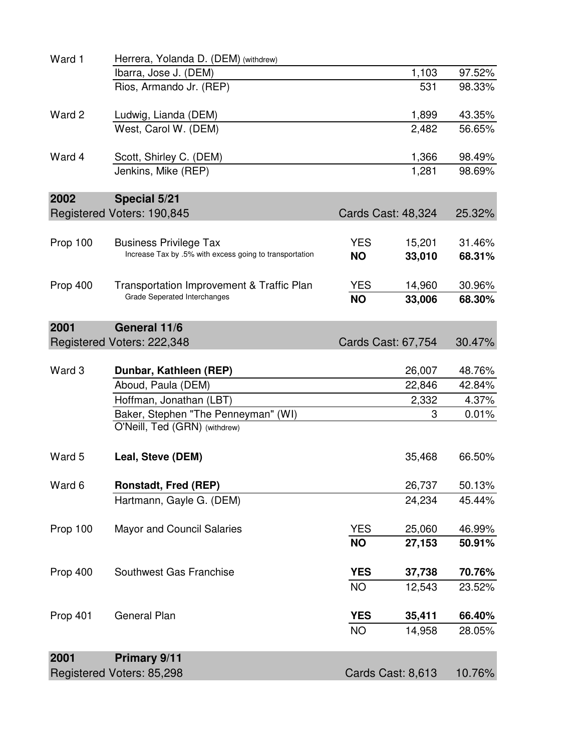| Ward 1   | Herrera, Yolanda D. (DEM) (withdrew)                                      |            |                    |        |
|----------|---------------------------------------------------------------------------|------------|--------------------|--------|
|          | Ibarra, Jose J. (DEM)                                                     |            | 1,103              | 97.52% |
|          | Rios, Armando Jr. (REP)                                                   |            | 531                | 98.33% |
| Ward 2   | Ludwig, Lianda (DEM)                                                      |            | 1,899              | 43.35% |
|          | West, Carol W. (DEM)                                                      |            | 2,482              | 56.65% |
| Ward 4   | Scott, Shirley C. (DEM)                                                   |            | 1,366              | 98.49% |
|          | Jenkins, Mike (REP)                                                       |            | 1,281              | 98.69% |
| 2002     | Special 5/21                                                              |            |                    |        |
|          | Registered Voters: 190,845                                                |            | Cards Cast: 48,324 | 25.32% |
| Prop 100 | <b>Business Privilege Tax</b>                                             | <b>YES</b> | 15,201             | 31.46% |
|          | Increase Tax by .5% with excess going to transportation                   | <b>NO</b>  | 33,010             | 68.31% |
| Prop 400 | Transportation Improvement & Traffic Plan<br>Grade Seperated Interchanges | <b>YES</b> | 14,960             | 30.96% |
|          |                                                                           | <b>NO</b>  | 33,006             | 68.30% |
| 2001     | General 11/6                                                              |            |                    |        |
|          | Registered Voters: 222,348                                                |            | Cards Cast: 67,754 | 30.47% |
| Ward 3   | Dunbar, Kathleen (REP)                                                    |            | 26,007             | 48.76% |
|          | Aboud, Paula (DEM)                                                        |            | 22,846             | 42.84% |
|          | Hoffman, Jonathan (LBT)                                                   |            | 2,332              | 4.37%  |
|          | Baker, Stephen "The Penneyman" (WI)                                       |            | 3                  | 0.01%  |
|          | O'Neill, Ted (GRN) (withdrew)                                             |            |                    |        |
| Ward 5   | Leal, Steve (DEM)                                                         |            | 35,468             | 66.50% |
| Ward 6   | Ronstadt, Fred (REP)                                                      |            | 26,737             | 50.13% |
|          | Hartmann, Gayle G. (DEM)                                                  |            | 24,234             | 45.44% |
| Prop 100 | <b>Mayor and Council Salaries</b>                                         | <b>YES</b> | 25,060             | 46.99% |
|          |                                                                           | <b>NO</b>  | 27,153             | 50.91% |
| Prop 400 | Southwest Gas Franchise                                                   | <b>YES</b> | 37,738             | 70.76% |
|          |                                                                           | <b>NO</b>  | 12,543             | 23.52% |
| Prop 401 | <b>General Plan</b>                                                       | <b>YES</b> | 35,411             | 66.40% |
|          |                                                                           | <b>NO</b>  | 14,958             | 28.05% |
| 2001     | Primary 9/11                                                              |            |                    |        |
|          | Registered Voters: 85,298                                                 |            | Cards Cast: 8,613  | 10.76% |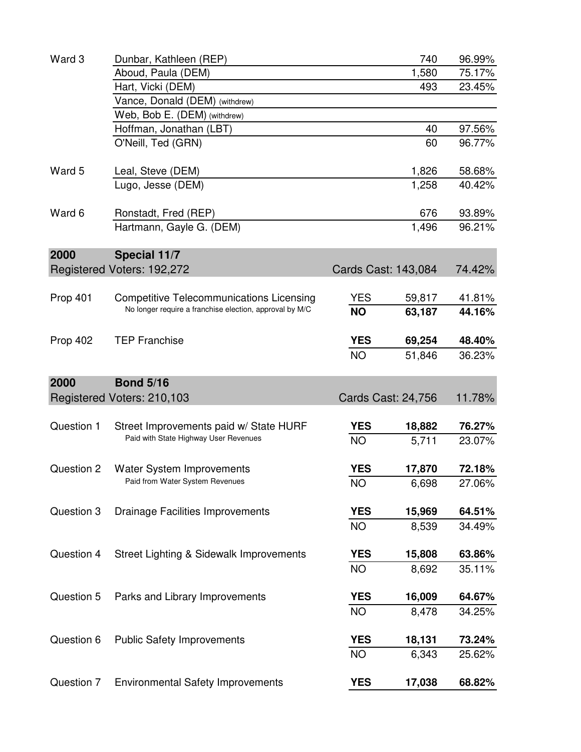| 75.17%<br>23.45%<br>97.56%<br>96.77% |
|--------------------------------------|
|                                      |
|                                      |
|                                      |
|                                      |
|                                      |
|                                      |
| 58.68%                               |
| 40.42%                               |
| 93.89%                               |
| 96.21%                               |
|                                      |
| 74.42%                               |
|                                      |
| 41.81%                               |
| 44.16%                               |
| 48.40%                               |
| 36.23%                               |
|                                      |
| 11.78%                               |
|                                      |
| 76.27%                               |
| 23.07%                               |
| 72.18%                               |
| 27.06%                               |
| 64.51%                               |
| 34.49%                               |
| 63.86%                               |
| 35.11%                               |
| 64.67%                               |
|                                      |
| 34.25%                               |
|                                      |
| 73.24%<br>25.62%                     |
|                                      |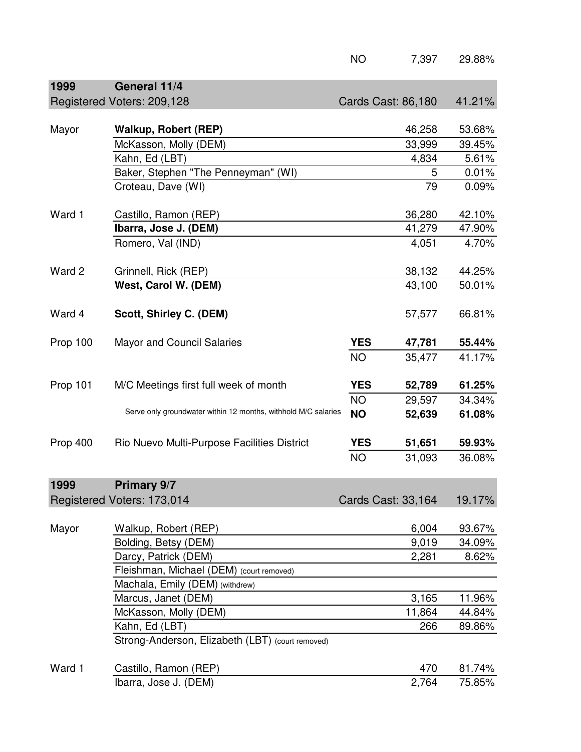|          |                                                                | <b>NO</b>  | 7,397              | 29.88% |
|----------|----------------------------------------------------------------|------------|--------------------|--------|
| 1999     | General 11/4                                                   |            |                    |        |
|          | Registered Voters: 209,128                                     |            | Cards Cast: 86,180 | 41.21% |
|          |                                                                |            |                    |        |
| Mayor    | <b>Walkup, Robert (REP)</b>                                    |            | 46,258             | 53.68% |
|          | McKasson, Molly (DEM)                                          |            | 33,999             | 39.45% |
|          | Kahn, Ed (LBT)                                                 |            | 4,834              | 5.61%  |
|          | Baker, Stephen "The Penneyman" (WI)                            |            | 5                  | 0.01%  |
|          | Croteau, Dave (WI)                                             |            | 79                 | 0.09%  |
|          |                                                                |            |                    |        |
| Ward 1   | Castillo, Ramon (REP)                                          |            | 36,280             | 42.10% |
|          | Ibarra, Jose J. (DEM)                                          |            | 41,279             | 47.90% |
|          | Romero, Val (IND)                                              |            | 4,051              | 4.70%  |
|          |                                                                |            |                    |        |
| Ward 2   | Grinnell, Rick (REP)                                           |            | 38,132             | 44.25% |
|          | West, Carol W. (DEM)                                           |            | 43,100             | 50.01% |
|          |                                                                |            |                    |        |
| Ward 4   | Scott, Shirley C. (DEM)                                        |            | 57,577             | 66.81% |
|          |                                                                |            |                    |        |
| Prop 100 | <b>Mayor and Council Salaries</b>                              | <b>YES</b> | 47,781             | 55.44% |
|          |                                                                | <b>NO</b>  | 35,477             | 41.17% |
|          |                                                                |            |                    |        |
| Prop 101 | M/C Meetings first full week of month                          | <b>YES</b> | 52,789             | 61.25% |
|          |                                                                | <b>NO</b>  | 29,597             | 34.34% |
|          | Serve only groundwater within 12 months, withhold M/C salaries | <b>NO</b>  | 52,639             | 61.08% |
|          |                                                                |            |                    |        |
| Prop 400 | Rio Nuevo Multi-Purpose Facilities District                    | <b>YES</b> | 51,651             | 59.93% |
|          |                                                                | <b>NO</b>  | 31,093             | 36.08% |
|          |                                                                |            |                    |        |
| 1999     | Primary 9/7                                                    |            |                    |        |
|          | Registered Voters: 173,014                                     |            | Cards Cast: 33,164 | 19.17% |
|          |                                                                |            |                    |        |
| Mayor    | Walkup, Robert (REP)                                           |            | 6,004              | 93.67% |
|          | Bolding, Betsy (DEM)                                           |            | 9,019              | 34.09% |
|          | Darcy, Patrick (DEM)                                           |            | 2,281              | 8.62%  |
|          | Fleishman, Michael (DEM) (court removed)                       |            |                    |        |
|          | Machala, Emily (DEM) (withdrew)                                |            |                    |        |
|          | Marcus, Janet (DEM)                                            |            | 3,165              | 11.96% |
|          | McKasson, Molly (DEM)                                          |            | 11,864             | 44.84% |
|          | Kahn, Ed (LBT)                                                 |            | 266                | 89.86% |
|          | Strong-Anderson, Elizabeth (LBT) (court removed)               |            |                    |        |
|          |                                                                |            |                    |        |
| Ward 1   | Castillo, Ramon (REP)                                          |            | 470                | 81.74% |
|          | Ibarra, Jose J. (DEM)                                          |            | 2,764              | 75.85% |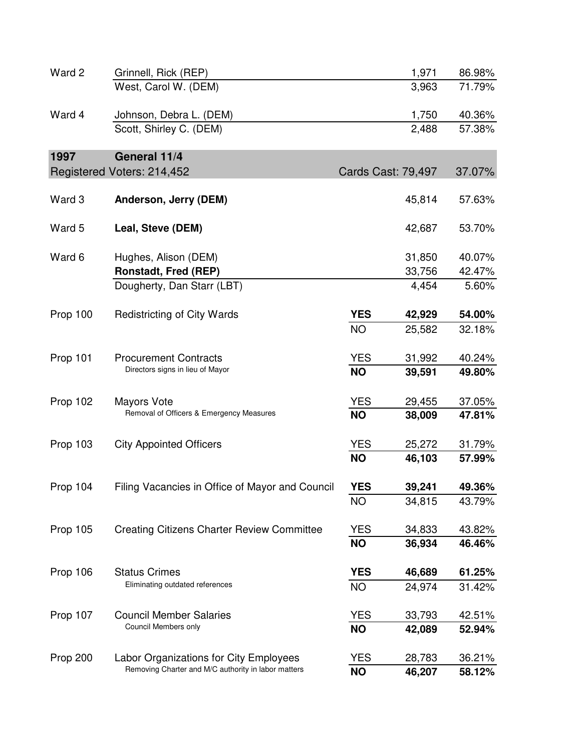| Ward 2   | Grinnell, Rick (REP)                                |            | 1,971                     | 86.98% |
|----------|-----------------------------------------------------|------------|---------------------------|--------|
|          | West, Carol W. (DEM)                                |            | 3,963                     | 71.79% |
| Ward 4   | Johnson, Debra L. (DEM)                             |            | 1,750                     | 40.36% |
|          | Scott, Shirley C. (DEM)                             |            | 2,488                     | 57.38% |
| 1997     | General 11/4                                        |            |                           |        |
|          | Registered Voters: 214,452                          |            | <b>Cards Cast: 79,497</b> | 37.07% |
| Ward 3   | Anderson, Jerry (DEM)                               |            | 45,814                    | 57.63% |
| Ward 5   | Leal, Steve (DEM)                                   |            | 42,687                    | 53.70% |
| Ward 6   | Hughes, Alison (DEM)                                |            | 31,850                    | 40.07% |
|          | <b>Ronstadt, Fred (REP)</b>                         |            | 33,756                    | 42.47% |
|          | Dougherty, Dan Starr (LBT)                          |            | 4,454                     | 5.60%  |
| Prop 100 | <b>Redistricting of City Wards</b>                  | <b>YES</b> | 42,929                    | 54.00% |
|          |                                                     | <b>NO</b>  | 25,582                    | 32.18% |
| Prop 101 | <b>Procurement Contracts</b>                        | <b>YES</b> | 31,992                    | 40.24% |
|          | Directors signs in lieu of Mayor                    | <b>NO</b>  | 39,591                    | 49.80% |
| Prop 102 | Mayors Vote                                         | <b>YES</b> | 29,455                    | 37.05% |
|          | Removal of Officers & Emergency Measures            | <b>NO</b>  | 38,009                    | 47.81% |
| Prop 103 | <b>City Appointed Officers</b>                      | <b>YES</b> | 25,272                    | 31.79% |
|          |                                                     | <b>NO</b>  | 46,103                    | 57.99% |
| Prop 104 | Filing Vacancies in Office of Mayor and Council     | <b>YES</b> | 39,241                    | 49.36% |
|          |                                                     | <b>NO</b>  | 34,815                    | 43.79% |
| Prop 105 | <b>Creating Citizens Charter Review Committee</b>   | <b>YES</b> | 34,833                    | 43.82% |
|          |                                                     | <b>NO</b>  | 36,934                    | 46.46% |
| Prop 106 | <b>Status Crimes</b>                                | <b>YES</b> | 46,689                    | 61.25% |
|          | Eliminating outdated references                     | <b>NO</b>  | 24,974                    | 31.42% |
| Prop 107 | <b>Council Member Salaries</b>                      | <b>YES</b> | 33,793                    | 42.51% |
|          | Council Members only                                | <b>NO</b>  | 42,089                    | 52.94% |
| Prop 200 | Labor Organizations for City Employees              | <b>YES</b> | 28,783                    | 36.21% |
|          | Removing Charter and M/C authority in labor matters | <b>NO</b>  | 46,207                    | 58.12% |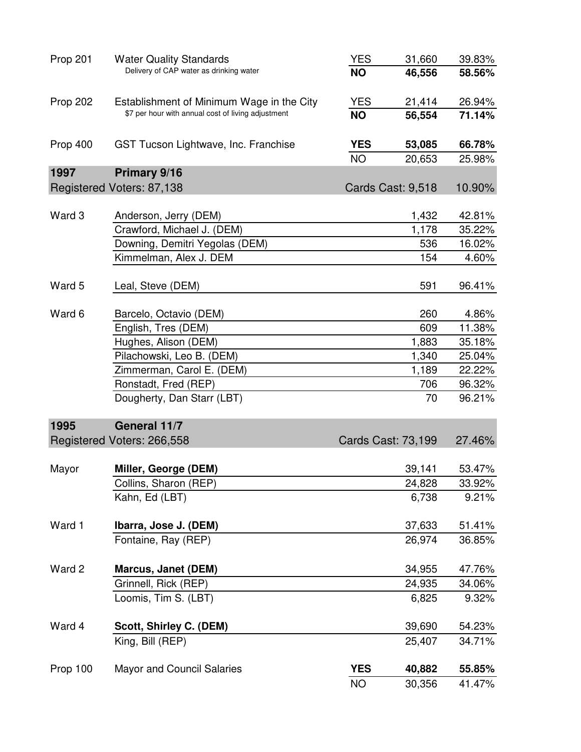| Prop 201 | <b>Water Quality Standards</b>                      | <b>YES</b> | 31,660             | 39.83% |
|----------|-----------------------------------------------------|------------|--------------------|--------|
|          | Delivery of CAP water as drinking water             | <b>NO</b>  | 46,556             | 58.56% |
| Prop 202 | Establishment of Minimum Wage in the City           | <b>YES</b> | 21,414             | 26.94% |
|          | \$7 per hour with annual cost of living adjustment  | <b>NO</b>  | 56,554             | 71.14% |
| Prop 400 | GST Tucson Lightwave, Inc. Franchise                | <b>YES</b> | 53,085             | 66.78% |
|          |                                                     | <b>NO</b>  | 20,653             | 25.98% |
| 1997     | Primary 9/16                                        |            |                    |        |
|          | Registered Voters: 87,138                           |            | Cards Cast: 9,518  | 10.90% |
| Ward 3   |                                                     |            |                    | 42.81% |
|          | Anderson, Jerry (DEM)<br>Crawford, Michael J. (DEM) |            | 1,432<br>1,178     |        |
|          |                                                     |            |                    | 35.22% |
|          | Downing, Demitri Yegolas (DEM)                      |            | 536                | 16.02% |
|          | Kimmelman, Alex J. DEM                              |            | 154                | 4.60%  |
| Ward 5   | Leal, Steve (DEM)                                   |            | 591                | 96.41% |
| Ward 6   | Barcelo, Octavio (DEM)                              |            | 260                | 4.86%  |
|          | English, Tres (DEM)                                 |            | 609                | 11.38% |
|          | Hughes, Alison (DEM)                                |            | 1,883              | 35.18% |
|          | Pilachowski, Leo B. (DEM)                           |            | 1,340              | 25.04% |
|          | Zimmerman, Carol E. (DEM)                           |            | 1,189              | 22.22% |
|          | Ronstadt, Fred (REP)                                |            | 706                | 96.32% |
|          | Dougherty, Dan Starr (LBT)                          |            | 70                 | 96.21% |
| 1995     | General 11/7                                        |            |                    |        |
|          | Registered Voters: 266,558                          |            | Cards Cast: 73,199 | 27.46% |
| Mayor    | Miller, George (DEM)                                |            | 39,141             | 53.47% |
|          | Collins, Sharon (REP)                               |            | 24,828             | 33.92% |
|          | Kahn, Ed (LBT)                                      |            | 6,738              | 9.21%  |
| Ward 1   | Ibarra, Jose J. (DEM)                               |            | 37,633             | 51.41% |
|          | Fontaine, Ray (REP)                                 |            | 26,974             | 36.85% |
| Ward 2   | <b>Marcus, Janet (DEM)</b>                          |            | 34,955             | 47.76% |
|          | Grinnell, Rick (REP)                                |            | 24,935             | 34.06% |
|          | Loomis, Tim S. (LBT)                                |            | 6,825              | 9.32%  |
| Ward 4   | Scott, Shirley C. (DEM)                             |            | 39,690             | 54.23% |
|          | King, Bill (REP)                                    |            | 25,407             | 34.71% |
| Prop 100 | <b>Mayor and Council Salaries</b>                   | <b>YES</b> | 40,882             | 55.85% |
|          |                                                     | <b>NO</b>  | 30,356             | 41.47% |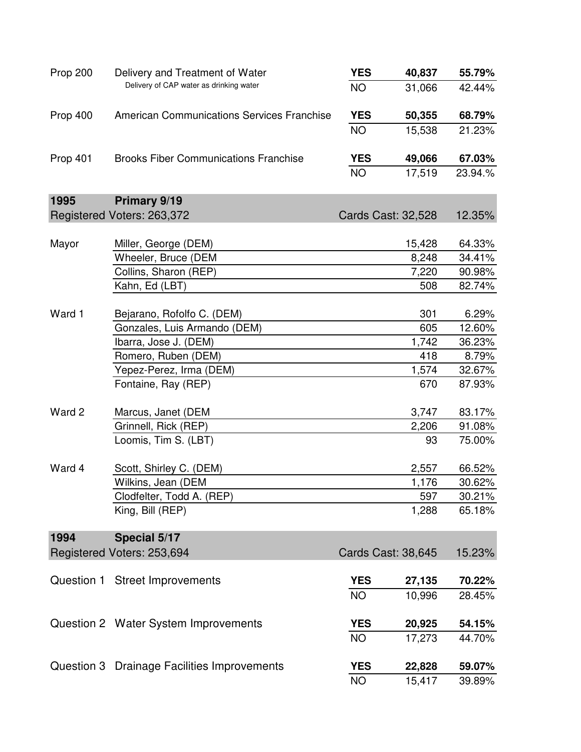| Prop 200 | Delivery and Treatment of Water              | <b>YES</b> | 40,837             | 55.79%  |
|----------|----------------------------------------------|------------|--------------------|---------|
|          | Delivery of CAP water as drinking water      | <b>NO</b>  | 31,066             | 42.44%  |
| Prop 400 | American Communications Services Franchise   | <b>YES</b> | 50,355             | 68.79%  |
|          |                                              | <b>NO</b>  | 15,538             | 21.23%  |
| Prop 401 | <b>Brooks Fiber Communications Franchise</b> | <b>YES</b> | 49,066             | 67.03%  |
|          |                                              | <b>NO</b>  | 17,519             | 23.94.% |
| 1995     | Primary 9/19                                 |            |                    |         |
|          | Registered Voters: 263,372                   |            | Cards Cast: 32,528 | 12.35%  |
|          |                                              |            |                    |         |
| Mayor    | Miller, George (DEM)                         |            | 15,428             | 64.33%  |
|          | Wheeler, Bruce (DEM                          |            | 8,248              | 34.41%  |
|          | Collins, Sharon (REP)                        |            | 7,220              | 90.98%  |
|          | Kahn, Ed (LBT)                               |            | 508                | 82.74%  |
| Ward 1   | Bejarano, Rofolfo C. (DEM)                   |            | 301                | 6.29%   |
|          | Gonzales, Luis Armando (DEM)                 |            | 605                | 12.60%  |
|          | Ibarra, Jose J. (DEM)                        |            | 1,742              | 36.23%  |
|          | Romero, Ruben (DEM)                          |            | 418                | 8.79%   |
|          | Yepez-Perez, Irma (DEM)                      |            | 1,574              | 32.67%  |
|          | Fontaine, Ray (REP)                          |            | 670                | 87.93%  |
| Ward 2   | Marcus, Janet (DEM                           |            | 3,747              | 83.17%  |
|          | Grinnell, Rick (REP)                         |            | 2,206              | 91.08%  |
|          | Loomis, Tim S. (LBT)                         |            | 93                 | 75.00%  |
| Ward 4   | Scott, Shirley C. (DEM)                      |            | 2,557              | 66.52%  |
|          | Wilkins, Jean (DEM                           |            | 1,176              | 30.62%  |
|          | Clodfelter, Todd A. (REP)                    |            | 597                | 30.21%  |
|          | King, Bill (REP)                             |            | 1,288              | 65.18%  |
| 1994     | Special 5/17                                 |            |                    |         |
|          | Registered Voters: 253,694                   |            | Cards Cast: 38,645 | 15.23%  |
|          | Question 1 Street Improvements               | <b>YES</b> | 27,135             | 70.22%  |
|          |                                              | <b>NO</b>  | 10,996             | 28.45%  |
|          | Question 2 Water System Improvements         | <b>YES</b> | 20,925             | 54.15%  |
|          |                                              | <b>NO</b>  | 17,273             | 44.70%  |
|          | Question 3 Drainage Facilities Improvements  | <b>YES</b> | 22,828             | 59.07%  |
|          |                                              | <b>NO</b>  | 15,417             | 39.89%  |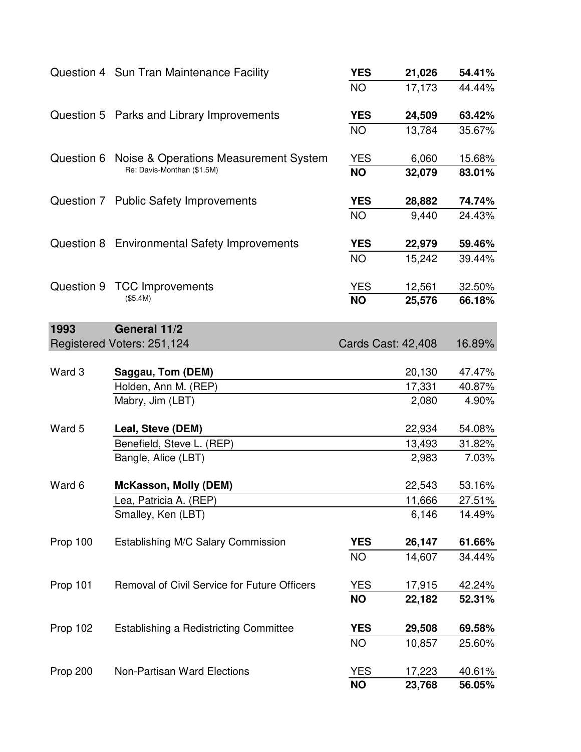|            | Question 4 Sun Tran Maintenance Facility         | <b>YES</b> | 21,026                    | 54.41% |
|------------|--------------------------------------------------|------------|---------------------------|--------|
|            |                                                  | <b>NO</b>  | 17,173                    | 44.44% |
|            | Question 5 Parks and Library Improvements        | <b>YES</b> | 24,509                    | 63.42% |
|            |                                                  | <b>NO</b>  | 13,784                    | 35.67% |
|            | Question 6 Noise & Operations Measurement System | <b>YES</b> | 6,060                     | 15.68% |
|            | Re: Davis-Monthan (\$1.5M)                       | <b>NO</b>  | 32,079                    | 83.01% |
|            | Question 7 Public Safety Improvements            | <b>YES</b> | 28,882                    | 74.74% |
|            |                                                  | <b>NO</b>  | 9,440                     | 24.43% |
|            | Question 8 Environmental Safety Improvements     | <b>YES</b> | 22,979                    | 59.46% |
|            |                                                  | <b>NO</b>  | 15,242                    | 39.44% |
| Question 9 | <b>TCC Improvements</b>                          | <b>YES</b> | 12,561                    | 32.50% |
|            | (\$5.4M)                                         | <b>NO</b>  | 25,576                    | 66.18% |
| 1993       | General 11/2                                     |            |                           |        |
|            | Registered Voters: 251,124                       |            | <b>Cards Cast: 42,408</b> | 16.89% |
| Ward 3     | Saggau, Tom (DEM)                                |            | 20,130                    | 47.47% |
|            | Holden, Ann M. (REP)                             |            | 17,331                    | 40.87% |
|            | Mabry, Jim (LBT)                                 |            | 2,080                     | 4.90%  |
| Ward 5     | Leal, Steve (DEM)                                |            | 22,934                    | 54.08% |
|            | Benefield, Steve L. (REP)                        |            | 13,493                    | 31.82% |
|            | Bangle, Alice (LBT)                              |            | 2,983                     | 7.03%  |
| Ward 6     | <b>McKasson, Molly (DEM)</b>                     |            | 22,543                    | 53.16% |
|            | ea, Patricia A. (REP)                            |            | 11,666                    | 27.51% |
|            | Smalley, Ken (LBT)                               |            | 6,146                     | 14.49% |
| Prop 100   | Establishing M/C Salary Commission               | <b>YES</b> | 26,147                    | 61.66% |
|            |                                                  | <b>NO</b>  | 14,607                    | 34.44% |
| Prop 101   | Removal of Civil Service for Future Officers     | <b>YES</b> | 17,915                    | 42.24% |
|            |                                                  | <b>NO</b>  | 22,182                    | 52.31% |
| Prop 102   | Establishing a Redistricting Committee           | <b>YES</b> | 29,508                    | 69.58% |
|            |                                                  | <b>NO</b>  | 10,857                    | 25.60% |
| Prop 200   | Non-Partisan Ward Elections                      | <b>YES</b> | 17,223                    | 40.61% |
|            |                                                  | <b>NO</b>  | 23,768                    | 56.05% |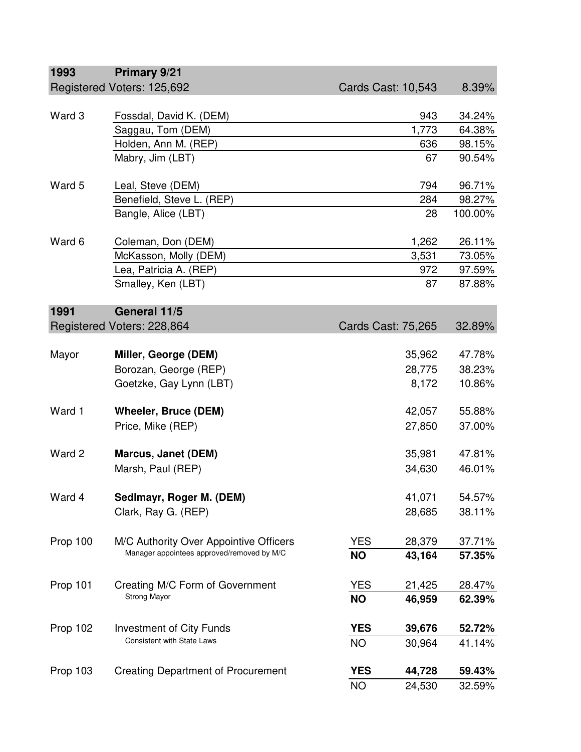| 1993     | Primary 9/21                                                                         |                           |                           |         |
|----------|--------------------------------------------------------------------------------------|---------------------------|---------------------------|---------|
|          | Registered Voters: 125,692                                                           | <b>Cards Cast: 10,543</b> |                           | 8.39%   |
|          |                                                                                      |                           |                           |         |
| Ward 3   | Fossdal, David K. (DEM)                                                              |                           | 943                       | 34.24%  |
|          | Saggau, Tom (DEM)                                                                    |                           | 1,773                     | 64.38%  |
|          | Holden, Ann M. (REP)                                                                 |                           | 636                       | 98.15%  |
|          | Mabry, Jim (LBT)                                                                     |                           | 67                        | 90.54%  |
|          |                                                                                      |                           |                           |         |
| Ward 5   | Leal, Steve (DEM)                                                                    |                           | 794                       | 96.71%  |
|          | Benefield, Steve L. (REP)                                                            |                           | 284                       | 98.27%  |
|          | Bangle, Alice (LBT)                                                                  |                           | 28                        | 100.00% |
|          |                                                                                      |                           |                           |         |
| Ward 6   | Coleman, Don (DEM)                                                                   |                           | 1,262                     | 26.11%  |
|          | McKasson, Molly (DEM)                                                                |                           | 3,531                     | 73.05%  |
|          | Lea, Patricia A. (REP)                                                               |                           | 972                       | 97.59%  |
|          | Smalley, Ken (LBT)                                                                   |                           | 87                        | 87.88%  |
|          |                                                                                      |                           |                           |         |
| 1991     | General 11/5                                                                         |                           |                           |         |
|          | Registered Voters: 228,864                                                           |                           | <b>Cards Cast: 75,265</b> | 32.89%  |
|          |                                                                                      |                           |                           |         |
| Mayor    | Miller, George (DEM)                                                                 |                           | 35,962                    | 47.78%  |
|          | Borozan, George (REP)                                                                |                           | 28,775                    | 38.23%  |
|          | Goetzke, Gay Lynn (LBT)                                                              |                           | 8,172                     | 10.86%  |
|          |                                                                                      |                           |                           |         |
| Ward 1   | <b>Wheeler, Bruce (DEM)</b>                                                          |                           | 42,057                    | 55.88%  |
|          | Price, Mike (REP)                                                                    |                           | 27,850                    | 37.00%  |
|          |                                                                                      |                           |                           |         |
| Ward 2   | <b>Marcus, Janet (DEM)</b>                                                           |                           | 35,981                    | 47.81%  |
|          | Marsh, Paul (REP)                                                                    |                           | 34,630                    | 46.01%  |
|          |                                                                                      |                           |                           |         |
| Ward 4   | Sedlmayr, Roger M. (DEM)                                                             |                           | 41,071                    | 54.57%  |
|          | Clark, Ray G. (REP)                                                                  |                           | 28,685                    | 38.11%  |
|          |                                                                                      |                           |                           |         |
|          |                                                                                      |                           |                           |         |
| Prop 100 | M/C Authority Over Appointive Officers<br>Manager appointees approved/removed by M/C | <b>YES</b>                | 28,379                    | 37.71%  |
|          |                                                                                      | <b>NO</b>                 | 43,164                    | 57.35%  |
|          |                                                                                      |                           |                           |         |
| Prop 101 | Creating M/C Form of Government                                                      | <b>YES</b>                | 21,425                    | 28.47%  |
|          | Strong Mayor                                                                         | <b>NO</b>                 | 46,959                    | 62.39%  |
|          |                                                                                      |                           |                           |         |
| Prop 102 | <b>Investment of City Funds</b><br><b>Consistent with State Laws</b>                 | <b>YES</b>                | 39,676                    | 52.72%  |
|          |                                                                                      | <b>NO</b>                 | 30,964                    | 41.14%  |
|          |                                                                                      |                           |                           |         |
| Prop 103 | <b>Creating Department of Procurement</b>                                            | <b>YES</b>                | 44,728                    | 59.43%  |
|          |                                                                                      | <b>NO</b>                 | 24,530                    | 32.59%  |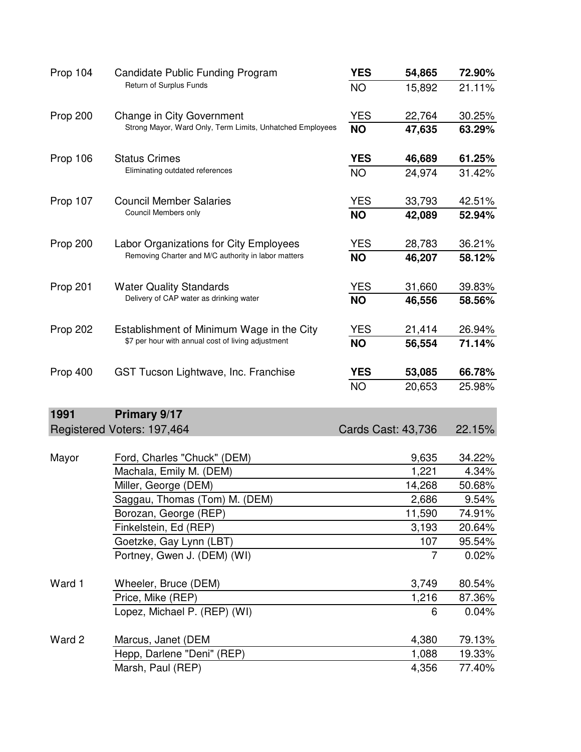| Prop 104 | Candidate Public Funding Program                          | <b>YES</b> | 54,865                    | 72.90% |
|----------|-----------------------------------------------------------|------------|---------------------------|--------|
|          | Return of Surplus Funds                                   | <b>NO</b>  | 15,892                    | 21.11% |
| Prop 200 | Change in City Government                                 | <b>YES</b> | 22,764                    | 30.25% |
|          | Strong Mayor, Ward Only, Term Limits, Unhatched Employees | <b>NO</b>  | 47,635                    | 63.29% |
| Prop 106 | <b>Status Crimes</b>                                      | <b>YES</b> | 46,689                    | 61.25% |
|          | Eliminating outdated references                           | <b>NO</b>  | 24,974                    | 31.42% |
| Prop 107 | <b>Council Member Salaries</b>                            | <b>YES</b> | 33,793                    | 42.51% |
|          | Council Members only                                      | <b>NO</b>  | 42,089                    | 52.94% |
| Prop 200 | Labor Organizations for City Employees                    | <b>YES</b> | 28,783                    | 36.21% |
|          | Removing Charter and M/C authority in labor matters       | <b>NO</b>  | 46,207                    | 58.12% |
| Prop 201 | <b>Water Quality Standards</b>                            | <b>YES</b> | 31,660                    | 39.83% |
|          | Delivery of CAP water as drinking water                   | <b>NO</b>  | 46,556                    | 58.56% |
| Prop 202 | Establishment of Minimum Wage in the City                 | <b>YES</b> | 21,414                    | 26.94% |
|          | \$7 per hour with annual cost of living adjustment        | <b>NO</b>  | 56,554                    | 71.14% |
| Prop 400 | GST Tucson Lightwave, Inc. Franchise                      | <b>YES</b> | 53,085                    | 66.78% |
|          |                                                           | <b>NO</b>  | 20,653                    | 25.98% |
| 1991     | Primary 9/17                                              |            |                           |        |
|          | Registered Voters: 197,464                                |            | <b>Cards Cast: 43,736</b> | 22.15% |
| Mayor    | Ford, Charles "Chuck" (DEM)                               |            | 9,635                     | 34.22% |
|          | Machala, Emily M. (DEM)                                   |            | 1,221                     | 4.34%  |
|          | Miller, George (DEM)                                      |            | 14,268                    | 50.68% |
|          | Saggau, Thomas (Tom) M. (DEM)                             |            | 2,686                     | 9.54%  |
|          | Borozan, George (REP)                                     |            | 11,590                    | 74.91% |
|          | Finkelstein, Ed (REP)                                     |            | 3,193                     | 20.64% |
|          | Goetzke, Gay Lynn (LBT)                                   |            | 107                       | 95.54% |
|          | Portney, Gwen J. (DEM) (WI)                               |            | $\overline{7}$            | 0.02%  |
| Ward 1   | Wheeler, Bruce (DEM)                                      |            | 3,749                     | 80.54% |
|          | Price, Mike (REP)                                         |            | 1,216                     | 87.36% |
|          | Lopez, Michael P. (REP) (WI)                              |            | 6                         | 0.04%  |
| Ward 2   | Marcus, Janet (DEM                                        |            | 4,380                     | 79.13% |
|          | Hepp, Darlene "Deni" (REP)                                |            | 1,088                     | 19.33% |
|          | Marsh, Paul (REP)                                         |            | 4,356                     | 77.40% |